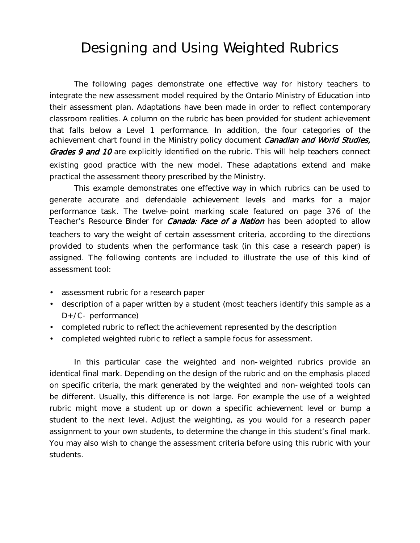## Designing and Using Weighted Rubrics

The following pages demonstrate one effective way for history teachers to integrate the new assessment model required by the Ontario Ministry of Education into their assessment plan. Adaptations have been made in order to reflect contemporary classroom realities. A column on the rubric has been provided for student achievement that falls below a Level 1 performance. In addition, the four categories of the achievement chart found in the Ministry policy document Canadian and World Studies, Grades 9 and 10 are explicitly identified on the rubric. This will help teachers connect existing good practice with the new model. These adaptations extend and make practical the assessment theory prescribed by the Ministry.

This example demonstrates one effective way in which rubrics can be used to generate accurate and defendable achievement levels and marks for a major performance task. The twelve-point marking scale featured on page 376 of the Teacher's Resource Binder for *Canada: Face of a Nation* has been adopted to allow teachers to vary the weight of certain assessment criteria, according to the directions provided to students when the performance task (in this case a research paper) is assigned. The following contents are included to illustrate the use of this kind of assessment tool:

- assessment rubric for a research paper
- description of a paper written by a student (most teachers identify this sample as a D+/C- performance)
- completed rubric to reflect the achievement represented by the description
- completed weighted rubric to reflect a sample focus for assessment.

In this particular case the weighted and non-weighted rubrics provide an identical final mark. Depending on the design of the rubric and on the emphasis placed on specific criteria, the mark generated by the weighted and non-weighted tools can be different. Usually, this difference is not large. For example the use of a weighted rubric might move a student up or down a specific achievement level or bump a student to the next level. Adjust the weighting, as you would for a research paper assignment to your own students, to determine the change in this student's final mark. You may also wish to change the assessment criteria before using this rubric with your students.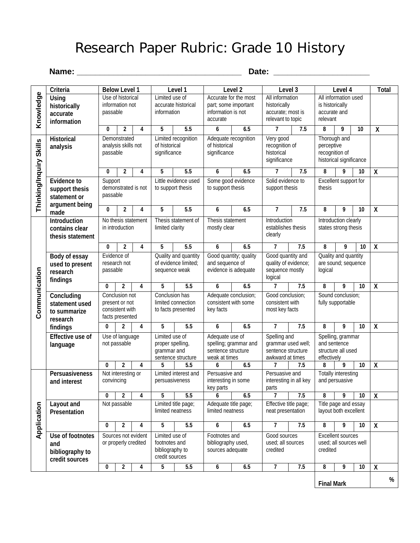## Research Paper Rubric: Grade 10 History

#### **Name: \_\_\_\_\_\_\_\_\_\_\_\_\_\_\_\_\_\_\_\_\_\_\_\_\_\_\_\_\_\_\_\_\_\_\_\_ Date: \_\_\_\_\_\_\_\_\_\_\_\_\_\_\_\_\_\_\_\_\_**

| Knowledge<br>Use of historical<br>Accurate for the most<br>All information<br>All information used<br>Limited use of<br>Using<br>information not<br>accurate historical<br>historically<br>part; some important<br>is historically<br>historically<br>information is not<br>information<br>accurate; most is<br>passable<br>accurate and<br>accurate<br>relevant to topic<br>accurate<br>relevant<br>information<br>$\overline{5.5}$<br>9<br>$\overline{\mathsf{X}}$<br>$\overline{2}$<br>5<br>6.5<br>$\overline{7}$<br>7.5<br>8<br>$\bf{0}$<br>4<br>6<br>10<br>Limited recognition<br>Adequate recognition<br>Very good<br><b>Historical</b><br>Demonstrated<br>Thorough and<br>Thinking/Inquiry Skills<br>analysis skills not<br>of historical<br>of historical<br>recognition of<br>perceptive<br>analysis<br>historical<br>recognition of<br>passable<br>significance<br>significance<br>significance<br>historical significance<br>$\overline{5.5}$<br>$\overline{\mathsf{X}}$<br>$\overline{2}$<br>5<br>6.5<br>$\overline{7}$<br>7.5<br>8<br>9<br>0<br>4<br>6<br>10<br>Little evidence used<br>Some good evidence<br>Solid evidence to<br>Support<br>Excellent support for<br><b>Evidence to</b><br>demonstrated is not<br>to support thesis<br>to support thesis<br>support thesis<br>thesis<br>support thesis<br>passable<br>statement or<br>argument being<br>5<br>$\overline{X}$<br>5.5<br>$\overline{1}$<br>7.5<br>8<br>9<br>10<br>0<br>$\overline{c}$<br>4<br>6<br>6.5<br>made |  |
|--------------------------------------------------------------------------------------------------------------------------------------------------------------------------------------------------------------------------------------------------------------------------------------------------------------------------------------------------------------------------------------------------------------------------------------------------------------------------------------------------------------------------------------------------------------------------------------------------------------------------------------------------------------------------------------------------------------------------------------------------------------------------------------------------------------------------------------------------------------------------------------------------------------------------------------------------------------------------------------------------------------------------------------------------------------------------------------------------------------------------------------------------------------------------------------------------------------------------------------------------------------------------------------------------------------------------------------------------------------------------------------------------------------------------------------------------------------------------------------------|--|
|                                                                                                                                                                                                                                                                                                                                                                                                                                                                                                                                                                                                                                                                                                                                                                                                                                                                                                                                                                                                                                                                                                                                                                                                                                                                                                                                                                                                                                                                                            |  |
|                                                                                                                                                                                                                                                                                                                                                                                                                                                                                                                                                                                                                                                                                                                                                                                                                                                                                                                                                                                                                                                                                                                                                                                                                                                                                                                                                                                                                                                                                            |  |
|                                                                                                                                                                                                                                                                                                                                                                                                                                                                                                                                                                                                                                                                                                                                                                                                                                                                                                                                                                                                                                                                                                                                                                                                                                                                                                                                                                                                                                                                                            |  |
|                                                                                                                                                                                                                                                                                                                                                                                                                                                                                                                                                                                                                                                                                                                                                                                                                                                                                                                                                                                                                                                                                                                                                                                                                                                                                                                                                                                                                                                                                            |  |
|                                                                                                                                                                                                                                                                                                                                                                                                                                                                                                                                                                                                                                                                                                                                                                                                                                                                                                                                                                                                                                                                                                                                                                                                                                                                                                                                                                                                                                                                                            |  |
|                                                                                                                                                                                                                                                                                                                                                                                                                                                                                                                                                                                                                                                                                                                                                                                                                                                                                                                                                                                                                                                                                                                                                                                                                                                                                                                                                                                                                                                                                            |  |
| Introduction<br>Introduction<br>No thesis statement<br>Thesis statement of<br>Thesis statement<br>Introduction clearly<br>mostly clear<br>establishes thesis<br>states strong thesis<br>in introduction<br>limited clarity<br>contains clear<br>clearly<br>thesis statement                                                                                                                                                                                                                                                                                                                                                                                                                                                                                                                                                                                                                                                                                                                                                                                                                                                                                                                                                                                                                                                                                                                                                                                                                |  |
| 5<br>5.5<br>6.5<br>7.5<br>10<br>$\pmb{\mathsf{X}}$<br>0<br>2<br>4<br>6<br>7<br>8<br>9                                                                                                                                                                                                                                                                                                                                                                                                                                                                                                                                                                                                                                                                                                                                                                                                                                                                                                                                                                                                                                                                                                                                                                                                                                                                                                                                                                                                      |  |
| Evidence of<br>Quality and quantity<br>Good quantity; quality<br>Good quantity and<br>Quality and quantity<br>Body of essay<br>of evidence limited;<br>quality of evidence;<br>research not<br>and sequence of<br>are sound; sequence<br>used to present<br>passable<br>evidence is adequate<br>sequence mostly<br>sequence weak<br>logical<br>research<br>logical                                                                                                                                                                                                                                                                                                                                                                                                                                                                                                                                                                                                                                                                                                                                                                                                                                                                                                                                                                                                                                                                                                                         |  |
| findings<br>7<br>7.5<br>9<br>$\overline{\mathbf{X}}$<br>$\overline{2}$<br>4<br>5<br>5.5<br>6<br>6.5<br>8<br>10<br>0                                                                                                                                                                                                                                                                                                                                                                                                                                                                                                                                                                                                                                                                                                                                                                                                                                                                                                                                                                                                                                                                                                                                                                                                                                                                                                                                                                        |  |
| Communication<br>Sound conclusion;<br>Concluding<br>Conclusion not<br>Conclusion has<br>Adequate conclusion;<br>Good conclusion;<br>present or not<br>limited connection<br>consistent with some<br>consistent with<br>fully supportable<br>statement used<br>consistent with<br>to facts presented<br>key facts<br>most key facts<br>to summarize<br>facts presented<br>research                                                                                                                                                                                                                                                                                                                                                                                                                                                                                                                                                                                                                                                                                                                                                                                                                                                                                                                                                                                                                                                                                                          |  |
| $\overline{2}$<br>9<br>5<br>5.5<br>6.5<br>$\overline{7}$<br>7.5<br>8<br>10<br>$\pmb{\mathsf{X}}$<br>0<br>4<br>6<br>findings                                                                                                                                                                                                                                                                                                                                                                                                                                                                                                                                                                                                                                                                                                                                                                                                                                                                                                                                                                                                                                                                                                                                                                                                                                                                                                                                                                |  |
| Use of language<br>Limited use of<br>Adequate use of<br><b>Effective use of</b><br>Spelling and<br>Spelling, grammar<br>not passable<br>spelling; grammar and<br>grammar used well;<br>and sentence<br>proper spelling,<br>language<br>grammar and<br>sentence structure<br>sentence structure<br>structure all used<br>sentence structure<br>weak at times<br>awkward at times<br>effectively                                                                                                                                                                                                                                                                                                                                                                                                                                                                                                                                                                                                                                                                                                                                                                                                                                                                                                                                                                                                                                                                                             |  |
| 5<br>7.5<br>9<br>10<br>$\boldsymbol{X}$<br>0<br>$\mathbf 2$<br>4<br>5.5<br>6<br>6.5<br>7<br>8                                                                                                                                                                                                                                                                                                                                                                                                                                                                                                                                                                                                                                                                                                                                                                                                                                                                                                                                                                                                                                                                                                                                                                                                                                                                                                                                                                                              |  |
| Not interesting or<br>Limited interest and<br>Persuasive and<br><b>Totally interesting</b><br>Persuasiveness<br>Persuasive and<br>interesting in all key<br>and persuasive<br>convincing<br>persuasiveness<br>interesting in some<br>and interest<br>key parts<br>parts                                                                                                                                                                                                                                                                                                                                                                                                                                                                                                                                                                                                                                                                                                                                                                                                                                                                                                                                                                                                                                                                                                                                                                                                                    |  |
| $\overline{\mathbf{X}}$<br>0<br>$\overline{\mathbf{2}}$<br>5<br>5.5<br>$\overline{1}$<br>7.5<br>8<br>9<br>4<br>6<br>6.5<br>10                                                                                                                                                                                                                                                                                                                                                                                                                                                                                                                                                                                                                                                                                                                                                                                                                                                                                                                                                                                                                                                                                                                                                                                                                                                                                                                                                              |  |
| Limited title page;<br>Adequate title page;<br>Not passable<br>Effective title page;<br>Title page and essay<br>Layout and<br>Application<br>limited neatness<br>layout both excellent<br>limited neatness<br>neat presentation<br>Presentation                                                                                                                                                                                                                                                                                                                                                                                                                                                                                                                                                                                                                                                                                                                                                                                                                                                                                                                                                                                                                                                                                                                                                                                                                                            |  |
| 9<br>$\overline{2}$<br>4<br>5<br>5.5<br>6.5<br>$\overline{7}$<br>7.5<br>8<br>$\boldsymbol{X}$<br>0<br>6<br>10                                                                                                                                                                                                                                                                                                                                                                                                                                                                                                                                                                                                                                                                                                                                                                                                                                                                                                                                                                                                                                                                                                                                                                                                                                                                                                                                                                              |  |
| Use of footnotes<br>Sources not evident<br>Limited use of<br>Footnotes and<br>Good sources<br><b>Excellent sources</b><br>or properly credited<br>footnotes and<br>bibliography used,<br>used; all sources<br>used; all sources well<br>and<br>bibliography to<br>sources adequate<br>credited<br>credited<br>bibliography to<br>credit sources<br>credit sources                                                                                                                                                                                                                                                                                                                                                                                                                                                                                                                                                                                                                                                                                                                                                                                                                                                                                                                                                                                                                                                                                                                          |  |
| 5<br>5.5<br>$\overline{\phantom{a}}$<br>7.5<br>8<br>9<br>$\overline{2}$<br>4<br>6<br>6.5<br>10<br>$\pmb{\mathsf{X}}$<br>0                                                                                                                                                                                                                                                                                                                                                                                                                                                                                                                                                                                                                                                                                                                                                                                                                                                                                                                                                                                                                                                                                                                                                                                                                                                                                                                                                                  |  |

**Final Mark %**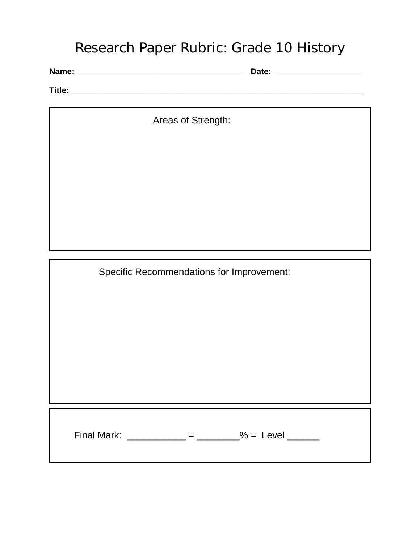### Research Paper Rubric: Grade 10 History

**Name: \_\_\_\_\_\_\_\_\_\_\_\_\_\_\_\_\_\_\_\_\_\_\_\_\_\_\_\_\_\_\_\_\_\_\_\_ Date: \_\_\_\_\_\_\_\_\_\_\_\_\_\_\_\_\_\_\_**

**Title: \_\_\_\_\_\_\_\_\_\_\_\_\_\_\_\_\_\_\_\_\_\_\_\_\_\_\_\_\_\_\_\_\_\_\_\_\_\_\_\_\_\_\_\_\_\_\_\_\_\_\_\_\_\_\_\_\_\_\_\_\_\_\_\_**

Areas of Strength:

Specific Recommendations for Improvement:

**Rubric for a Book Talka** Final Mark: \_\_\_\_\_\_\_\_\_\_\_\_ = \_\_\_\_\_\_\_\_% = Level \_\_\_\_\_\_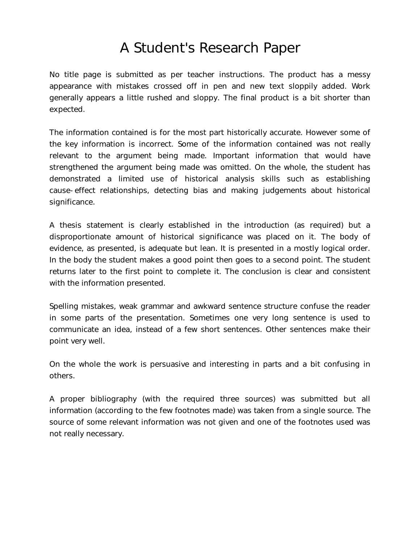## A Student's Research Paper

No title page is submitted as per teacher instructions. The product has a messy appearance with mistakes crossed off in pen and new text sloppily added. Work generally appears a little rushed and sloppy. The final product is a bit shorter than expected.

The information contained is for the most part historically accurate. However some of the key information is incorrect. Some of the information contained was not really relevant to the argument being made. Important information that would have strengthened the argument being made was omitted. On the whole, the student has demonstrated a limited use of historical analysis skills such as establishing cause-effect relationships, detecting bias and making judgements about historical significance.

A thesis statement is clearly established in the introduction (as required) but a disproportionate amount of historical significance was placed on it. The body of evidence, as presented, is adequate but lean. It is presented in a mostly logical order. In the body the student makes a good point then goes to a second point. The student returns later to the first point to complete it. The conclusion is clear and consistent with the information presented.

Spelling mistakes, weak grammar and awkward sentence structure confuse the reader in some parts of the presentation. Sometimes one very long sentence is used to communicate an idea, instead of a few short sentences. Other sentences make their point very well.

On the whole the work is persuasive and interesting in parts and a bit confusing in others.

A proper bibliography (with the required three sources) was submitted but all information (according to the few footnotes made) was taken from a single source. The source of some relevant information was not given and one of the footnotes used was not really necessary.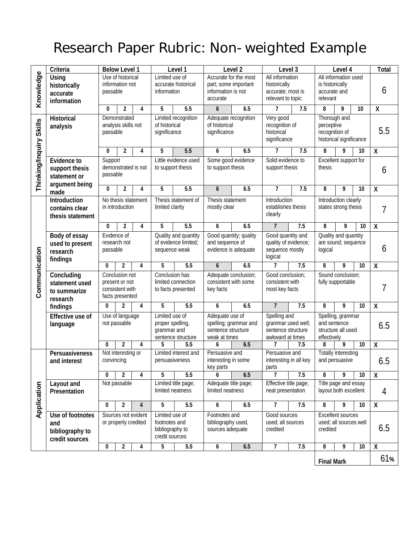# Research Paper Rubric: Non-weighted Example

|                         | Criteria                                                               |                                                                        | <b>Below Level 1</b>                 |                         | Level 1                                                                 |                      | Level <sub>2</sub>                                                              |     | Level 3                                                                      |     | Level 4                                                                 | Total |        |                         |
|-------------------------|------------------------------------------------------------------------|------------------------------------------------------------------------|--------------------------------------|-------------------------|-------------------------------------------------------------------------|----------------------|---------------------------------------------------------------------------------|-----|------------------------------------------------------------------------------|-----|-------------------------------------------------------------------------|-------|--------|-------------------------|
| Knowledge               | <b>Using</b><br>historically<br>accurate<br>information                | passable                                                               | Use of historical<br>information not |                         | Limited use of<br>accurate historical<br>information                    |                      | Accurate for the most<br>part; some important<br>information is not<br>accurate |     | All information<br>historically<br>accurate; most is<br>relevant to topic    |     | All information used<br>is historically<br>accurate and<br>relevant     |       |        | 6                       |
|                         |                                                                        | 0                                                                      | 2                                    | 4                       | 5                                                                       | 5.5                  | 6                                                                               | 6.5 | $\overline{1}$                                                               | 7.5 | 8                                                                       | 9     | 10     | $\overline{\mathsf{x}}$ |
| Thinking/Inquiry Skills | <b>Historical</b><br>analysis                                          | Demonstrated<br>analysis skills not<br>passable                        |                                      |                         | Limited recognition<br>of historical<br>significance                    |                      | Adequate recognition<br>of historical<br>significance                           |     | Very good<br>recognition of<br>historical<br>significance                    |     | Thorough and<br>perceptive<br>recognition of<br>historical significance |       |        | 5.5                     |
|                         |                                                                        | $\bf{0}$                                                               | $\overline{2}$                       | 4                       | 5                                                                       | 5.5                  | 6                                                                               | 6.5 | 7                                                                            | 7.5 | 8                                                                       | 9     | 10     | $\pmb{\mathsf{X}}$      |
|                         | <b>Evidence to</b><br>support thesis<br>statement or<br>argument being | Support<br>demonstrated is not<br>passable                             |                                      |                         | Little evidence used<br>to support thesis                               |                      | Some good evidence<br>to support thesis                                         |     | Solid evidence to<br>support thesis                                          |     | <b>Excellent support for</b><br>thesis                                  |       |        | 6                       |
|                         | made                                                                   | 0                                                                      | $\mathbf 2$                          | 4                       | 5                                                                       | 5.5                  | 6                                                                               | 6.5 | 7                                                                            | 7.5 | 8                                                                       | 9     | 10     | $\pmb{\mathsf{X}}$      |
|                         | Introduction<br>contains clear<br>thesis statement                     | No thesis statement<br>in introduction                                 |                                      |                         | Thesis statement of<br>limited clarity                                  |                      | Thesis statement<br>mostly clear                                                |     | Introduction<br>establishes thesis<br>clearly                                |     | Introduction clearly<br>states strong thesis                            |       |        | 7                       |
|                         |                                                                        | $\bf{0}$                                                               | $\overline{2}$                       | 4                       | 5                                                                       | 5.5                  | 6                                                                               | 6.5 | $\overline{7}$                                                               | 7.5 | 8                                                                       | 9     | 10     | $\pmb{\mathsf{X}}$      |
| Communication           | Body of essay<br>used to present<br>research<br>findings               | Evidence of<br>research not<br>passable                                |                                      |                         | Quality and quantity<br>of evidence limited;<br>sequence weak           |                      | Good quantity; quality<br>and sequence of<br>evidence is adequate               |     | Good quantity and<br>quality of evidence;<br>sequence mostly<br>logical      |     | Quality and quantity<br>are sound; sequence<br>logical                  |       |        | 6                       |
|                         |                                                                        | $\mathbf{0}$                                                           | $\overline{2}$                       | 4                       | 5                                                                       | 5.5                  | 6                                                                               | 6.5 | 7                                                                            | 7.5 | 8                                                                       | 9     | 10     | $\overline{\mathsf{x}}$ |
|                         | Concluding<br>statement used<br>to summarize<br>research               | Conclusion not<br>present or not<br>consistent with<br>facts presented |                                      |                         | Conclusion has<br>limited connection<br>to facts presented              |                      | Adequate conclusion;<br>consistent with some<br>key facts                       |     | Good conclusion;<br>consistent with<br>most key facts                        |     | Sound conclusion;<br>fully supportable                                  |       | 7      |                         |
|                         | findings                                                               | 0                                                                      | $\overline{2}$                       | 4                       | 5                                                                       | 5.5                  | 6                                                                               | 6.5 | $\overline{7}$                                                               | 7.5 | 8                                                                       | 9     | 10     | $\pmb{\mathsf{X}}$      |
|                         | <b>Effective use of</b><br>language                                    | Use of language<br>not passable                                        |                                      |                         | Limited use of<br>proper spelling,<br>grammar and<br>sentence structure |                      | Adequate use of<br>spelling; grammar and<br>sentence structure<br>weak at times |     | Spelling and<br>grammar used well;<br>sentence structure<br>awkward at times |     | Spelling, grammar<br>and sentence<br>structure all used<br>effectively  |       |        | 6.5                     |
|                         |                                                                        | 0                                                                      | $\overline{2}$                       | 4                       | 5                                                                       | 5.5                  | 6                                                                               | 6.5 | 7                                                                            | 7.5 | 8                                                                       | 9     | 10     | $\pmb{\mathsf{X}}$      |
|                         | Persuasiveness<br>and interest                                         | Not interesting or<br>convincing                                       |                                      |                         | persuasiveness                                                          | Limited interest and | Persuasive and<br>interesting in some<br>key parts                              |     | Persuasive and<br>interesting in all key<br>parts                            |     | <b>Totally interesting</b><br>and persuasive                            |       |        | 6.5                     |
|                         |                                                                        | 0                                                                      | $\overline{2}$                       | 4                       | 5                                                                       | 5.5                  | 6                                                                               | 6.5 | 7                                                                            | 7.5 | 8                                                                       | 9     | $10\,$ | $\pmb{\mathsf{X}}$      |
| Application             | Layout and<br>Presentation                                             | Not passable                                                           |                                      |                         | Limited title page;<br>limited neatness                                 |                      | Adequate title page;<br>limited neatness                                        |     | Effective title page;<br>neat presentation                                   |     | Title page and essay<br>layout both excellent                           |       |        | 4                       |
|                         |                                                                        | 0                                                                      | $\overline{2}$                       | $\overline{\mathbf{4}}$ | 5                                                                       | 5.5                  | 6                                                                               | 6.5 | $\overline{7}$                                                               | 7.5 | 8                                                                       | 9     | 10     | $\overline{\mathbf{X}}$ |
|                         | Use of footnotes<br>and<br>bibliography to<br>credit sources           | Sources not evident<br>or properly credited                            |                                      |                         | Limited use of<br>footnotes and<br>bibliography to<br>credit sources    |                      | Footnotes and<br>bibliography used,<br>sources adequate                         |     | Good sources<br>used; all sources<br>credited                                |     | <b>Excellent sources</b><br>used; all sources well<br>credited          |       | 6.5    |                         |
|                         |                                                                        | 0                                                                      | $\overline{2}$                       | 4                       | 5                                                                       | 5.5                  | 6                                                                               | 6.5 | 7                                                                            | 7.5 | 8                                                                       | 9     | 10     | $\pmb{\mathsf{X}}$      |
|                         |                                                                        |                                                                        |                                      |                         |                                                                         |                      |                                                                                 |     |                                                                              |     | <b>Final Mark</b>                                                       |       |        | 61%                     |